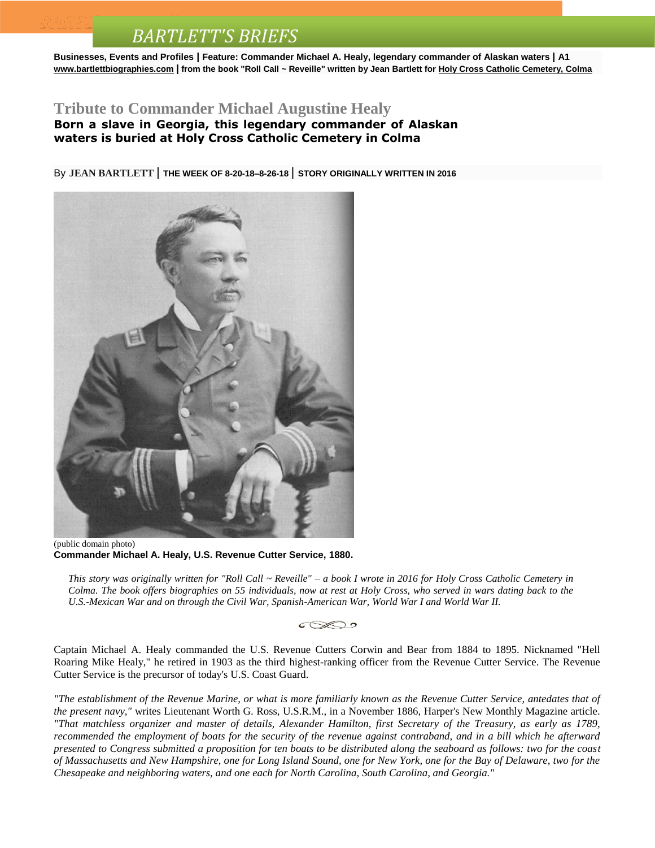## *BARTLETT'S BRIEFS*

**Businesses, Events and Profiles | Feature: Commander Michael A. Healy, legendary commander of Alaskan waters | A1 [www.bartlettbiographies.com](http://www.bartlettbiographies.com/) | from the book "Roll Call ~ Reveille" written by Jean Bartlett for [Holy Cross Catholic Cemetery, Colma](http://www.holycrosscemeteries.com/locations/colma.htm)**

## **Tribute to Commander Michael Augustine Healy**

**Born a slave in Georgia, this legendary commander of Alaskan waters is buried at Holy Cross Catholic Cemetery in Colma**

By **JEAN [BARTLETT](http://www.mercurynews.com/author/jean-bartlett/)** | **THE WEEK OF 8-20-18–8-26-18** | **STORY ORIGINALLY WRITTEN IN 2016**



(public domain photo) **Commander Michael A. Healy, U.S. Revenue Cutter Service, 1880.**

*This story was originally written for "Roll Call ~ Reveille" – a book I wrote in 2016 for Holy Cross Catholic Cemetery in Colma. The book offers biographies on 55 individuals, now at rest at Holy Cross, who served in wars dating back to the U.S.-Mexican War and on through the Civil War, Spanish-American War, World War I and World War II.*



Captain Michael A. Healy commanded the U.S. Revenue Cutters Corwin and Bear from 1884 to 1895. Nicknamed "Hell Roaring Mike Healy," he retired in 1903 as the third highest-ranking officer from the Revenue Cutter Service. The Revenue Cutter Service is the precursor of today's U.S. Coast Guard.

*"The establishment of the Revenue Marine, or what is more familiarly known as the Revenue Cutter Service, antedates that of the present navy,"* writes Lieutenant Worth G. Ross, U.S.R.M., in a November 1886, Harper's New Monthly Magazine article. *"That matchless organizer and master of details, Alexander Hamilton, first Secretary of the Treasury, as early as 1789, recommended the employment of boats for the security of the revenue against contraband, and in a bill which he afterward presented to Congress submitted a proposition for ten boats to be distributed along the seaboard as follows: two for the coast of Massachusetts and New Hampshire, one for Long Island Sound, one for New York, one for the Bay of Delaware, two for the Chesapeake and neighboring waters, and one each for North Carolina, South Carolina, and Georgia."*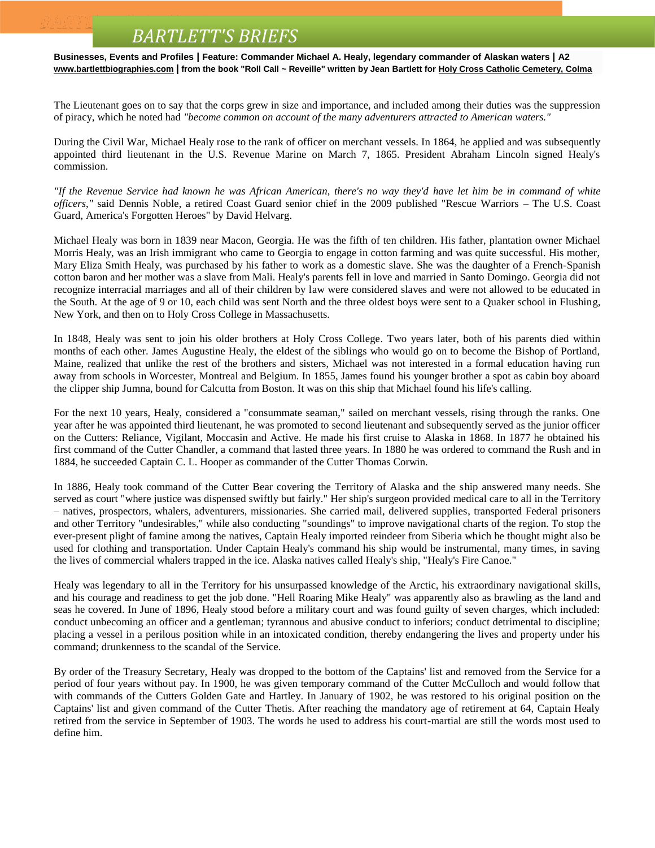## *BARTLETT'S BRIEFS*

**Businesses, Events and Profiles | Feature: Commander Michael A. Healy, legendary commander of Alaskan waters | A2 [www.bartlettbiographies.com](http://www.bartlettbiographies.com/) | from the book "Roll Call ~ Reveille" written by Jean Bartlett for [Holy Cross Catholic Cemetery, Colma](http://www.holycrosscemeteries.com/locations/colma.htm)**

The Lieutenant goes on to say that the corps grew in size and importance, and included among their duties was the suppression of piracy, which he noted had *"become common on account of the many adventurers attracted to American waters."*

During the Civil War, Michael Healy rose to the rank of officer on merchant vessels. In 1864, he applied and was subsequently appointed third lieutenant in the U.S. Revenue Marine on March 7, 1865. President Abraham Lincoln signed Healy's commission.

*"If the Revenue Service had known he was African American, there's no way they'd have let him be in command of white officers,"* said Dennis Noble, a retired Coast Guard senior chief in the 2009 published "Rescue Warriors – The U.S. Coast Guard, America's Forgotten Heroes" by David Helvarg.

Michael Healy was born in 1839 near Macon, Georgia. He was the fifth of ten children. His father, plantation owner Michael Morris Healy, was an Irish immigrant who came to Georgia to engage in cotton farming and was quite successful. His mother, Mary Eliza Smith Healy, was purchased by his father to work as a domestic slave. She was the daughter of a French-Spanish cotton baron and her mother was a slave from Mali. Healy's parents fell in love and married in Santo Domingo. Georgia did not recognize interracial marriages and all of their children by law were considered slaves and were not allowed to be educated in the South. At the age of 9 or 10, each child was sent North and the three oldest boys were sent to a Quaker school in Flushing, New York, and then on to Holy Cross College in Massachusetts.

In 1848, Healy was sent to join his older brothers at Holy Cross College. Two years later, both of his parents died within months of each other. James Augustine Healy, the eldest of the siblings who would go on to become the Bishop of Portland, Maine, realized that unlike the rest of the brothers and sisters, Michael was not interested in a formal education having run away from schools in Worcester, Montreal and Belgium. In 1855, James found his younger brother a spot as cabin boy aboard the clipper ship Jumna, bound for Calcutta from Boston. It was on this ship that Michael found his life's calling.

For the next 10 years, Healy, considered a "consummate seaman," sailed on merchant vessels, rising through the ranks. One year after he was appointed third lieutenant, he was promoted to second lieutenant and subsequently served as the junior officer on the Cutters: Reliance, Vigilant, Moccasin and Active. He made his first cruise to Alaska in 1868. In 1877 he obtained his first command of the Cutter Chandler, a command that lasted three years. In 1880 he was ordered to command the Rush and in 1884, he succeeded Captain C. L. Hooper as commander of the Cutter Thomas Corwin.

In 1886, Healy took command of the Cutter Bear covering the Territory of Alaska and the ship answered many needs. She served as court "where justice was dispensed swiftly but fairly." Her ship's surgeon provided medical care to all in the Territory – natives, prospectors, whalers, adventurers, missionaries. She carried mail, delivered supplies, transported Federal prisoners and other Territory "undesirables," while also conducting "soundings" to improve navigational charts of the region. To stop the ever-present plight of famine among the natives, Captain Healy imported reindeer from Siberia which he thought might also be used for clothing and transportation. Under Captain Healy's command his ship would be instrumental, many times, in saving the lives of commercial whalers trapped in the ice. Alaska natives called Healy's ship, "Healy's Fire Canoe."

Healy was legendary to all in the Territory for his unsurpassed knowledge of the Arctic, his extraordinary navigational skills, and his courage and readiness to get the job done. "Hell Roaring Mike Healy" was apparently also as brawling as the land and seas he covered. In June of 1896, Healy stood before a military court and was found guilty of seven charges, which included: conduct unbecoming an officer and a gentleman; tyrannous and abusive conduct to inferiors; conduct detrimental to discipline; placing a vessel in a perilous position while in an intoxicated condition, thereby endangering the lives and property under his command; drunkenness to the scandal of the Service.

By order of the Treasury Secretary, Healy was dropped to the bottom of the Captains' list and removed from the Service for a period of four years without pay. In 1900, he was given temporary command of the Cutter McCulloch and would follow that with commands of the Cutters Golden Gate and Hartley. In January of 1902, he was restored to his original position on the Captains' list and given command of the Cutter Thetis. After reaching the mandatory age of retirement at 64, Captain Healy retired from the service in September of 1903. The words he used to address his court-martial are still the words most used to define him.